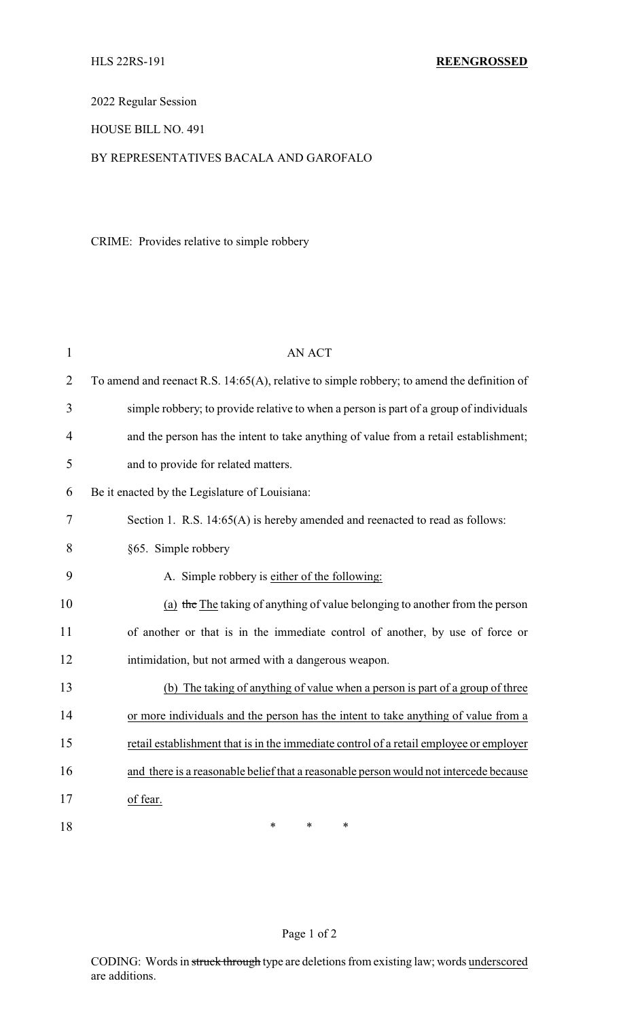2022 Regular Session

## HOUSE BILL NO. 491

## BY REPRESENTATIVES BACALA AND GAROFALO

CRIME: Provides relative to simple robbery

| $\mathbf{1}$   | <b>AN ACT</b>                                                                              |
|----------------|--------------------------------------------------------------------------------------------|
| 2              | To amend and reenact R.S. 14:65(A), relative to simple robbery; to amend the definition of |
| 3              | simple robbery; to provide relative to when a person is part of a group of individuals     |
| $\overline{4}$ | and the person has the intent to take anything of value from a retail establishment;       |
| 5              | and to provide for related matters.                                                        |
| 6              | Be it enacted by the Legislature of Louisiana:                                             |
| $\tau$         | Section 1. R.S. 14:65(A) is hereby amended and reenacted to read as follows:               |
| 8              | §65. Simple robbery                                                                        |
| 9              | A. Simple robbery is either of the following:                                              |
| 10             | (a) the The taking of anything of value belonging to another from the person               |
| 11             | of another or that is in the immediate control of another, by use of force or              |
| 12             | intimidation, but not armed with a dangerous weapon.                                       |
| 13             | (b) The taking of anything of value when a person is part of a group of three              |
| 14             | or more individuals and the person has the intent to take anything of value from a         |
| 15             | retail establishment that is in the immediate control of a retail employee or employer     |
| 16             | and there is a reasonable belief that a reasonable person would not intercede because      |
| 17             | of fear.                                                                                   |
| 18             | $\ast$<br>*<br>*                                                                           |

# Page 1 of 2

CODING: Words in struck through type are deletions from existing law; words underscored are additions.